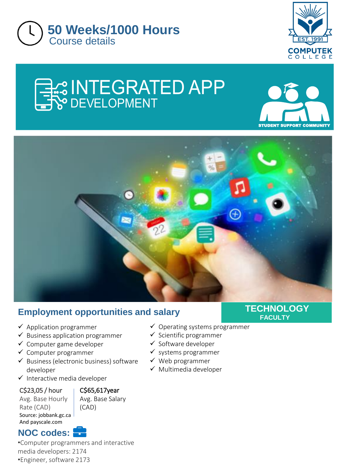



# **EX INTEGRATED APP**





## **Employment opportunities and salary**

- $\checkmark$  Application programmer
- $\checkmark$  Business application programmer
- ✓ Computer game developer
- ✓ Computer programmer
- ✓ Business (electronic business) software developer
- ✓ Interactive media developer

C\$23,05 / hour

#### C\$65,617year

Avg. Base Hourly Rate (CAD) Source: jobbank.gc.ca And payscale.com

Avg. Base Salary (CAD)

## **NOC codes:**

•Computer programmers and interactive media developers: 2174 •Engineer, software 2173

- $\checkmark$  Operating systems programmer
- ✓ Scientific programmer
- ✓ Software developer
- $\checkmark$  systems programmer
- ✓ Web programmer
- ✓ Multimedia developer

#### **TECHNOLOGY FACULTY**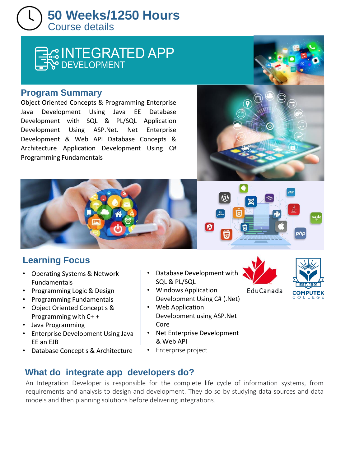## Course details **50 Weeks/1250 Hours**

## ER INTEGRATED APP

#### **Program Summary**

Object Oriented Concepts & Programming Enterprise Java Development Using Java EE Database Development with SQL & PL/SQL Application Development Using ASP.Net. Net Enterprise Development & Web API Database Concepts & Architecture Application Development Using C# Programming Fundamentals

## **Learning Focus**

- Operating Systems & Network Fundamentals
- Programming Logic & Design
- Programming Fundamentals
- Object Oriented Concept s & Programming with C+ +
- Java Programming
- Enterprise Development Using Java EE an EJB
- Database Concept s & Architecture
- Database Development with SQL & PL/SQL
- Windows Application Development Using C# (.Net)
- Web Application Development using ASP.Net Core
- Net Enterprise Development & Web API

## • Enterprise project

# EduCanada



An Integration Developer is responsible for the complete life cycle of information systems, from requirements and analysis to design and development. They do so by studying data sources and data models and then planning solutions before delivering integrations.





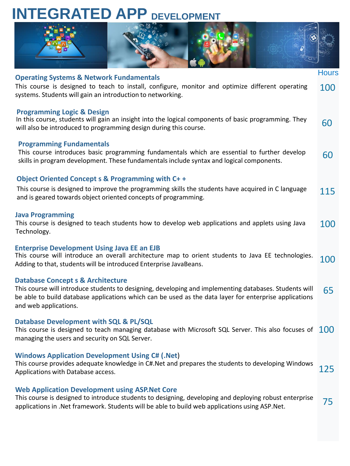## **INTEGRATED APP DEVELOPMENT**



Hours

#### **Operating Systems & Network Fundamentals**

This course is designed to teach to install, configure, monitor and optimize different operating systems. Students will gain an introduction to networking. 100

#### **Programming Logic & Design**

60 In this course, students will gain an insight into the logical components of basic programming. They will also be introduced to programming design during this course.

#### **Programming Fundamentals**

This course introduces basic programming fundamentals which are essential to further develop skills in program development. These fundamentals include syntax and logical components. 60

#### **Object Oriented Concept s & Programming with C+ +**

| This course is designed to improve the programming skills the students have acquired in C language | 115 |
|----------------------------------------------------------------------------------------------------|-----|
| and is geared towards object oriented concepts of programming.                                     |     |

#### **Java Programming**

100 This course is designed to teach students how to develop web applications and applets using Java Technology.

#### **Enterprise Development Using Java EE an EJB**

100 This course will introduce an overall architecture map to orient students to Java EE technologies. Adding to that, students will be introduced Enterprise JavaBeans.

#### **Database Concept s & Architecture**

65 This course will introduce students to designing, developing and implementing databases. Students will be able to build database applications which can be used as the data layer for enterprise applications and web applications.

#### **Database Development with SQL & PL/SQL**

This course is designed to teach managing database with Microsoft SQL Server. This also focuses of  $\,\,100$ managing the users and security on SQL Server.

#### **Windows Application Development Using C# (.Net**)

This course provides adequate knowledge in C#.Net and prepares the students to developing Windows Applications with Database access. 125

#### **Web Application Development using ASP.Net Core**

75 This course is designed to introduce students to designing, developing and deploying robust enterprise applications in .Net framework. Students will be able to build web applications using ASP.Net.